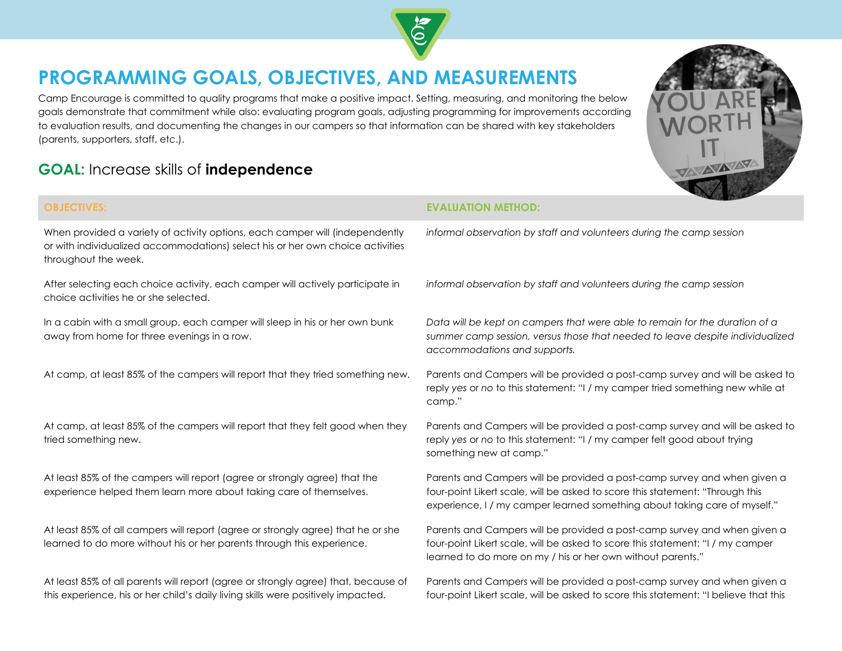

# **PROGRAMMING GOALS, OBJECTIVES, AND MEASUREMENTS**

Camp Encourage is committed to quality programs that make a positive impact. Setting, measuring, and monitoring the below goals demonstrate that commitment while also: evaluating program goals, adjusting programming for improvements according to evaluation results, and documenting the changes in our campers so that information can be shared with key stakeholders (parents, supporters, staff, etc.).

### **GOAL:** Increase skills of **independence**

When provided a variety of activity options, each camper will (independently or with individualized accommodations) select his or her own choice activities throughout the week.

After selecting each choice activity, each camper will actively participate in choice activities he or she selected.

In a cabin with a small group, each camper will sleep in his or her own bunk away from home for three evenings in a row.

At camp, at least 85% of the campers will report that they felt good when they tried something new.

At least 85% of the campers will report (agree or strongly agree) that the experience helped them learn more about taking care of themselves.

At least 85% of all campers will report (agree or strongly agree) that he or she learned to do more without his or her parents through this experience.

At least 85% of all parents will report (agree or strongly agree) that, because of this experience, his or her child's daily living skills were positively impacted.

#### **OBJECTIVES: EVALUATION METHOD:**

*informal observation by staff and volunteers during the camp session* 

*informal observation by staff and volunteers during the camp session* 

*Data will be kept on campers that were able to remain for the duration of a summer camp session, versus those that needed to leave despite individualized accommodations and supports.* 

At camp, at least 85% of the campers will report that they tried something new. Parents and Campers will be provided a post-camp survey and will be asked to reply *yes* or *no* to this statement: "I / my camper tried something new while at camp."

> Parents and Campers will be provided a post-camp survey and will be asked to reply *yes* or *no* to this statement: "I / my camper felt good about trying something new at camp."

Parents and Campers will be provided a post-camp survey and when given a four-point Likert scale, will be asked to score this statement: "Through this experience, I / my camper learned something about taking care of myself."

Parents and Campers will be provided a post-camp survey and when given a four-point Likert scale, will be asked to score this statement: "I / my camper learned to do more on my / his or her own without parents."

Parents and Campers will be provided a post-camp survey and when given a four-point Likert scale, will be asked to score this statement: "I believe that this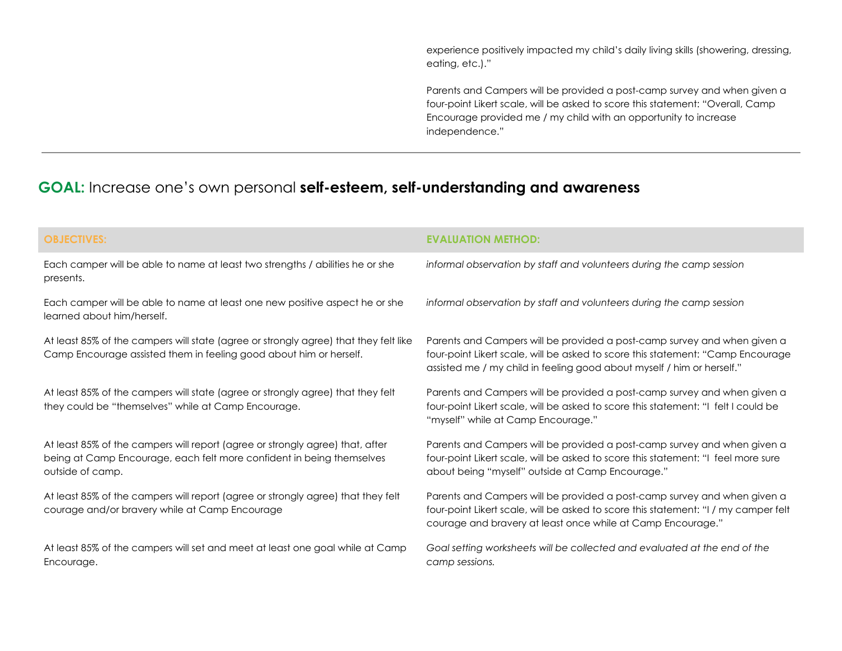experience positively impacted my child's daily living skills (showering, dressing, eating, etc.)."

Parents and Campers will be provided a post-camp survey and when given a four-point Likert scale, will be asked to score this statement: "Overall, Camp Encourage provided me / my child with an opportunity to increase independence."

## **GOAL:** Increase one's own personal **self-esteem, self-understanding and awareness**

| <b>OBJECTIVES:</b>                                                                                                                                                         | <b>EVALUATION METHOD:</b>                                                                                                                                                                                                             |
|----------------------------------------------------------------------------------------------------------------------------------------------------------------------------|---------------------------------------------------------------------------------------------------------------------------------------------------------------------------------------------------------------------------------------|
| Each camper will be able to name at least two strengths / abilities he or she<br>presents.                                                                                 | informal observation by staff and volunteers during the camp session                                                                                                                                                                  |
| Each camper will be able to name at least one new positive aspect he or she<br>learned about him/herself.                                                                  | informal observation by staff and volunteers during the camp session                                                                                                                                                                  |
| At least 85% of the campers will state (agree or strongly agree) that they felt like<br>Camp Encourage assisted them in feeling good about him or herself.                 | Parents and Campers will be provided a post-camp survey and when given a<br>four-point Likert scale, will be asked to score this statement: "Camp Encourage<br>assisted me / my child in feeling good about myself / him or herself." |
| At least 85% of the campers will state (agree or strongly agree) that they felt<br>they could be "themselves" while at Camp Encourage.                                     | Parents and Campers will be provided a post-camp survey and when given a<br>four-point Likert scale, will be asked to score this statement: "I felt I could be<br>"myself" while at Camp Encourage."                                  |
| At least 85% of the campers will report (agree or strongly agree) that, after<br>being at Camp Encourage, each felt more confident in being themselves<br>outside of camp. | Parents and Campers will be provided a post-camp survey and when given a<br>four-point Likert scale, will be asked to score this statement: "I feel more sure<br>about being "myself" outside at Camp Encourage."                     |
| At least 85% of the campers will report (agree or strongly agree) that they felt<br>courage and/or bravery while at Camp Encourage                                         | Parents and Campers will be provided a post-camp survey and when given a<br>four-point Likert scale, will be asked to score this statement: "I / my camper felt<br>courage and bravery at least once while at Camp Encourage."        |
| At least 85% of the campers will set and meet at least one goal while at Camp<br>Encourage.                                                                                | Goal setting worksheets will be collected and evaluated at the end of the<br>camp sessions.                                                                                                                                           |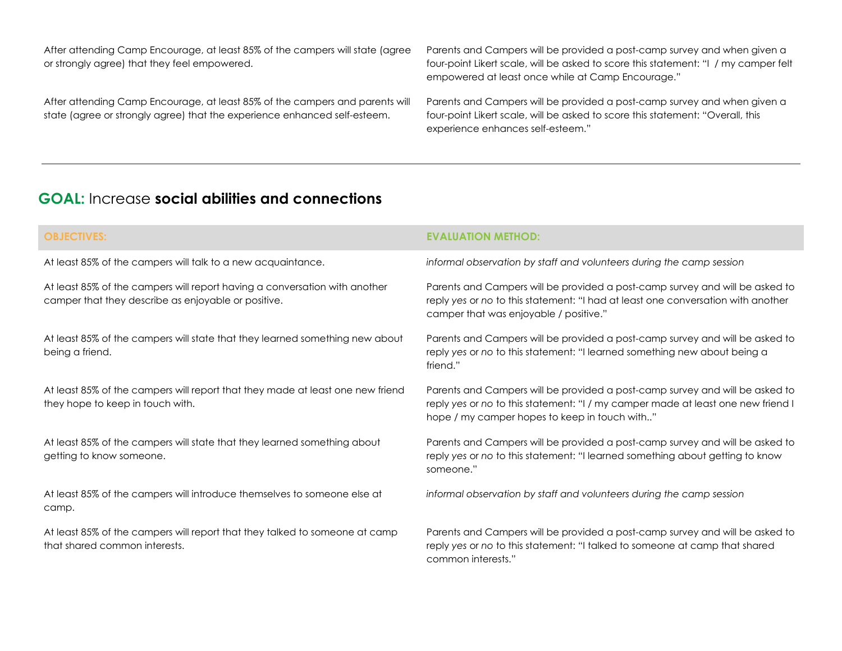After attending Camp Encourage, at least 85% of the campers will state (agree or strongly agree) that they feel empowered.

After attending Camp Encourage, at least 85% of the campers and parents will state (agree or strongly agree) that the experience enhanced self-esteem.

Parents and Campers will be provided a post-camp survey and when given a four-point Likert scale, will be asked to score this statement: "I / my camper felt empowered at least once while at Camp Encourage."

Parents and Campers will be provided a post-camp survey and when given a four-point Likert scale, will be asked to score this statement: "Overall, this experience enhances self-esteem."

#### **GOAL:** Increase **social abilities and connections**

| <b>EVALUATION METHOD:</b>                                                                                                                                                                                         |
|-------------------------------------------------------------------------------------------------------------------------------------------------------------------------------------------------------------------|
| informal observation by staff and volunteers during the camp session                                                                                                                                              |
| Parents and Campers will be provided a post-camp survey and will be asked to<br>reply yes or no to this statement: "I had at least one conversation with another<br>camper that was enjoyable / positive."        |
| Parents and Campers will be provided a post-camp survey and will be asked to<br>reply yes or no to this statement: "I learned something new about being a<br>friend."                                             |
| Parents and Campers will be provided a post-camp survey and will be asked to<br>reply yes or no to this statement: "I / my camper made at least one new friend I<br>hope / my camper hopes to keep in touch with" |
| Parents and Campers will be provided a post-camp survey and will be asked to<br>reply yes or no to this statement: "I learned something about getting to know<br>someone."                                        |
| informal observation by staff and volunteers during the camp session                                                                                                                                              |
| Parents and Campers will be provided a post-camp survey and will be asked to<br>reply yes or no to this statement: "I talked to someone at camp that shared<br>common interests."                                 |
|                                                                                                                                                                                                                   |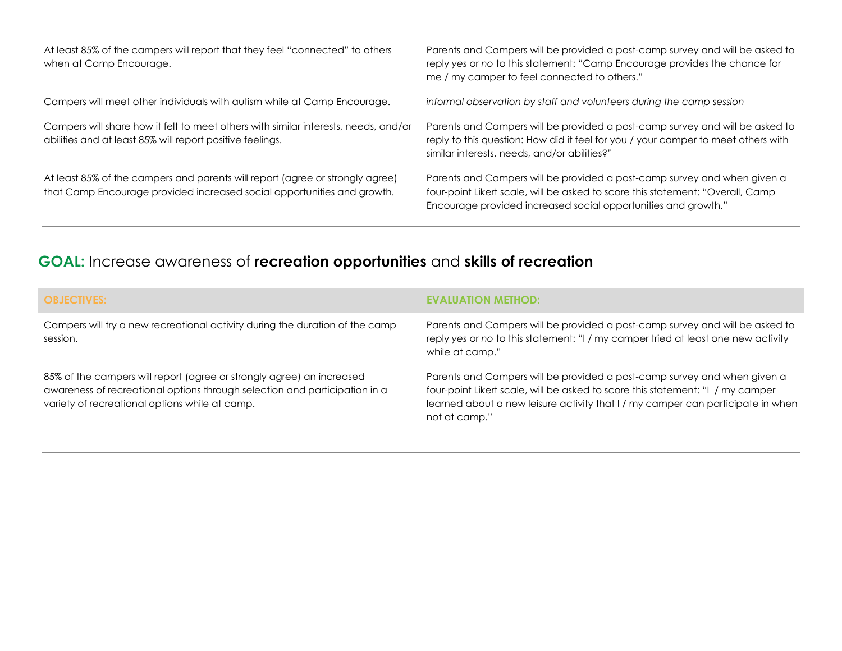At least 85% of the campers will report that they feel "connected" to others when at Camp Encourage.

Campers will meet other individuals with autism while at Camp Encourage. *informal observation by staff and volunteers during the camp session* 

Campers will share how it felt to meet others with similar interests, needs, and/or abilities and at least 85% will report positive feelings.

At least 85% of the campers and parents will report (agree or strongly agree) that Camp Encourage provided increased social opportunities and growth.

Parents and Campers will be provided a post-camp survey and will be asked to reply *yes* or *no* to this statement: "Camp Encourage provides the chance for me / my camper to feel connected to others."

Parents and Campers will be provided a post-camp survey and will be asked to reply to this question: How did it feel for you / your camper to meet others with similar interests, needs, and/or abilities?"

Parents and Campers will be provided a post-camp survey and when given a four-point Likert scale, will be asked to score this statement: "Overall, Camp Encourage provided increased social opportunities and growth."

#### **GOAL:** Increase awareness of **recreation opportunities** and **skills of recreation**

| <b>OBJECTIVES:</b>                                                                                                                                                                                    | <b>EVALUATION METHOD:</b>                                                                                                                                                                                                                                      |
|-------------------------------------------------------------------------------------------------------------------------------------------------------------------------------------------------------|----------------------------------------------------------------------------------------------------------------------------------------------------------------------------------------------------------------------------------------------------------------|
| Campers will try a new recreational activity during the duration of the camp<br>session.                                                                                                              | Parents and Campers will be provided a post-camp survey and will be asked to<br>reply yes or no to this statement: "I / my camper tried at least one new activity<br>while at camp."                                                                           |
| 85% of the campers will report (agree or strongly agree) an increased<br>awareness of recreational options through selection and participation in a<br>variety of recreational options while at camp. | Parents and Campers will be provided a post-camp survey and when given a<br>four-point Likert scale, will be asked to score this statement: "I / my camper<br>learned about a new leisure activity that I / my camper can participate in when<br>not at camp." |